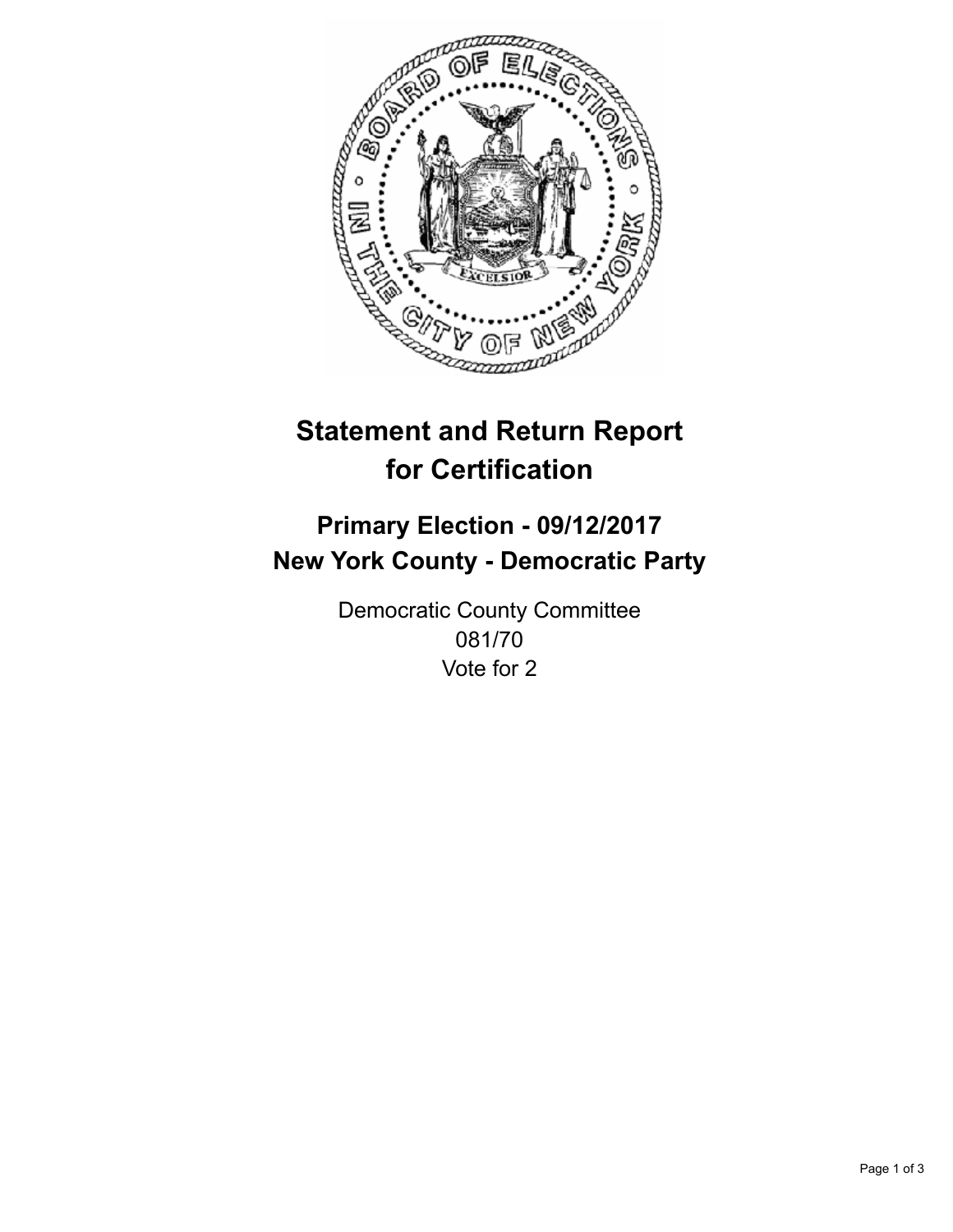

## **Statement and Return Report for Certification**

## **Primary Election - 09/12/2017 New York County - Democratic Party**

Democratic County Committee 081/70 Vote for 2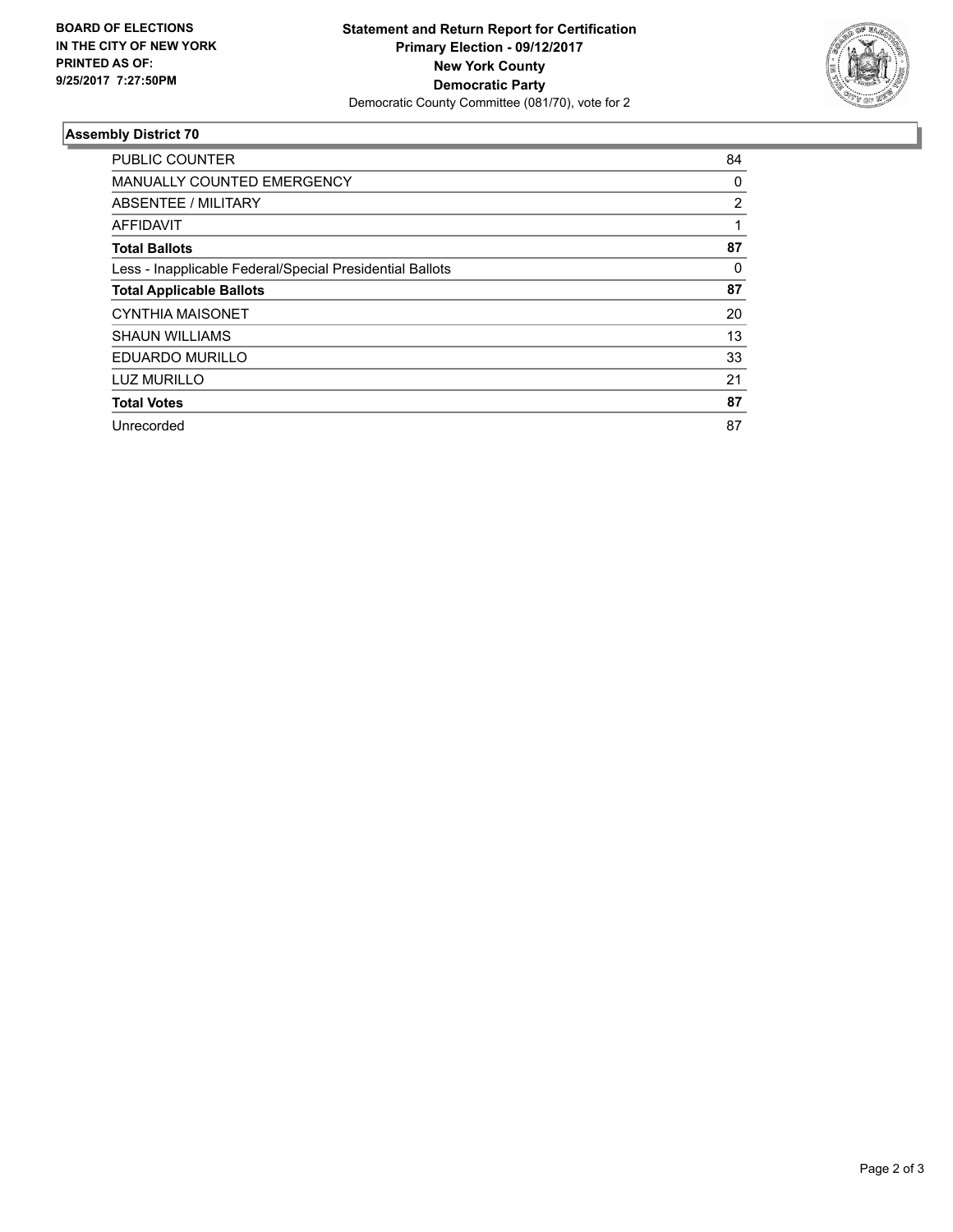

## **Assembly District 70**

| <b>PUBLIC COUNTER</b>                                    | 84 |
|----------------------------------------------------------|----|
| <b>MANUALLY COUNTED EMERGENCY</b>                        | 0  |
| <b>ABSENTEE / MILITARY</b>                               | 2  |
| AFFIDAVIT                                                |    |
| <b>Total Ballots</b>                                     | 87 |
| Less - Inapplicable Federal/Special Presidential Ballots | 0  |
| <b>Total Applicable Ballots</b>                          | 87 |
| <b>CYNTHIA MAISONET</b>                                  | 20 |
| <b>SHAUN WILLIAMS</b>                                    | 13 |
| EDUARDO MURILLO                                          | 33 |
| <b>LUZ MURILLO</b>                                       | 21 |
| <b>Total Votes</b>                                       | 87 |
| Unrecorded                                               | 87 |